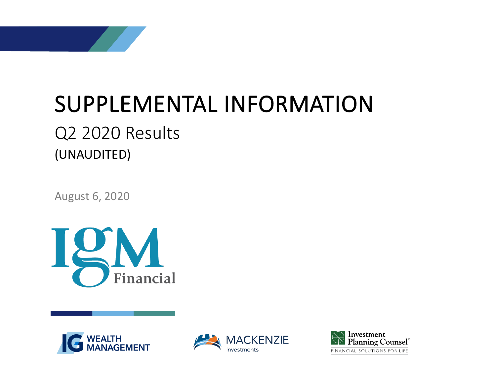

August 6, 2020







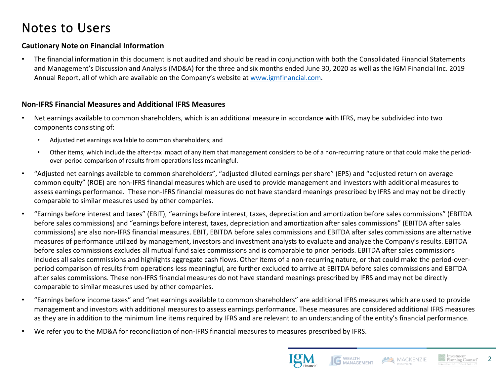## Notes to Users

### **Cautionary Note on Financial Information**

• The financial information in this document is not audited and should be read in conjunction with both the Consolidated Financial Statements and Management's Discussion and Analysis (MD&A) for the three and six months ended June 30, 2020 as well as the IGM Financial Inc. 2019 Annual Report, all of which are available on the Company's website at [www.igmfinancial.com.](http://www.igmfinancial.com/)

### **Non-IFRS Financial Measures and Additional IFRS Measures**

- Net earnings available to common shareholders, which is an additional measure in accordance with IFRS, may be subdivided into two components consisting of:
	- Adjusted net earnings available to common shareholders; and
	- Other items, which include the after-tax impact of any item that management considers to be of a non-recurring nature or that could make the periodover-period comparison of results from operations less meaningful.
- "Adjusted net earnings available to common shareholders", "adjusted diluted earnings per share" (EPS) and "adjusted return on average common equity" (ROE) are non-IFRS financial measures which are used to provide management and investors with additional measures to assess earnings performance. These non-IFRS financial measures do not have standard meanings prescribed by IFRS and may not be directly comparable to similar measures used by other companies.
- "Earnings before interest and taxes" (EBIT), "earnings before interest, taxes, depreciation and amortization before sales commissions" (EBITDA before sales commissions) and "earnings before interest, taxes, depreciation and amortization after sales commissions" (EBITDA after sales commissions) are also non-IFRS financial measures. EBIT, EBITDA before sales commissions and EBITDA after sales commissions are alternative measures of performance utilized by management, investors and investment analysts to evaluate and analyze the Company's results. EBITDA before sales commissions excludes all mutual fund sales commissions and is comparable to prior periods. EBITDA after sales commissions includes all sales commissions and highlights aggregate cash flows. Other items of a non-recurring nature, or that could make the period-overperiod comparison of results from operations less meaningful, are further excluded to arrive at EBITDA before sales commissions and EBITDA after sales commissions. These non-IFRS financial measures do not have standard meanings prescribed by IFRS and may not be directly comparable to similar measures used by other companies.
- "Earnings before income taxes" and "net earnings available to common shareholders" are additional IFRS measures which are used to provide management and investors with additional measures to assess earnings performance. These measures are considered additional IFRS measures as they are in addition to the minimum line items required by IFRS and are relevant to an understanding of the entity's financial performance.
- We refer you to the MD&A for reconciliation of non-IFRS financial measures to measures prescribed by IFRS.



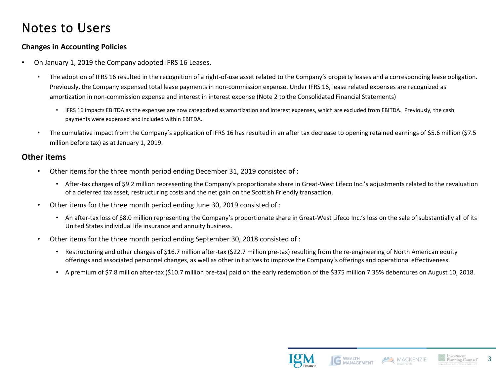### Notes to Users

### **Changes in Accounting Policies**

- On January 1, 2019 the Company adopted IFRS 16 Leases.
	- The adoption of IFRS 16 resulted in the recognition of a right-of-use asset related to the Company's property leases and a corresponding lease obligation. Previously, the Company expensed total lease payments in non-commission expense. Under IFRS 16, lease related expenses are recognized as amortization in non-commission expense and interest in interest expense (Note 2 to the Consolidated Financial Statements)
		- IFRS 16 impacts EBITDA as the expenses are now categorized as amortization and interest expenses, which are excluded from EBITDA. Previously, the cash payments were expensed and included within EBITDA.
	- The cumulative impact from the Company's application of IFRS 16 has resulted in an after tax decrease to opening retained earnings of \$5.6 million (\$7.5 million before tax) as at January 1, 2019.

### **Other items**

- Other items for the three month period ending December 31, 2019 consisted of :
	- After-tax charges of \$9.2 million representing the Company's proportionate share in Great-West Lifeco Inc.'s adjustments related to the revaluation of a deferred tax asset, restructuring costs and the net gain on the Scottish Friendly transaction.
- Other items for the three month period ending June 30, 2019 consisted of :
	- An after-tax loss of \$8.0 million representing the Company's proportionate share in Great-West Lifeco Inc.'s loss on the sale of substantially all of its United States individual life insurance and annuity business.
- Other items for the three month period ending September 30, 2018 consisted of :
	- Restructuring and other charges of \$16.7 million after-tax (\$22.7 million pre-tax) resulting from the re-engineering of North American equity offerings and associated personnel changes, as well as other initiatives to improve the Company's offerings and operational effectiveness.
	- A premium of \$7.8 million after-tax (\$10.7 million pre-tax) paid on the early redemption of the \$375 million 7.35% debentures on August 10, 2018.



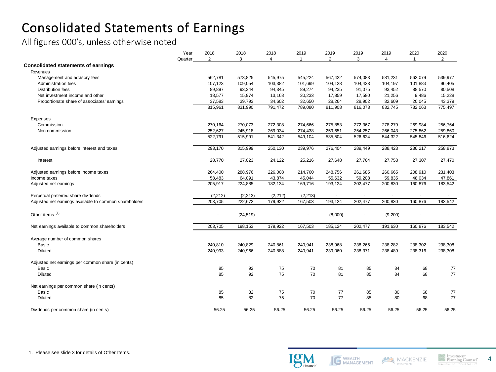## Consolidated Statements of Earnings

All figures 000's, unless otherwise noted

|                                                        | Year    | 2018           | 2018      | 2018           | 2019           | 2019    | 2019    | 2019           | 2020         | 2020    |
|--------------------------------------------------------|---------|----------------|-----------|----------------|----------------|---------|---------|----------------|--------------|---------|
|                                                        | Quarter | $\overline{2}$ | 3         | $\overline{4}$ | $\overline{1}$ | 2       | 3       | $\overline{4}$ | $\mathbf{1}$ | 2       |
| <b>Consolidated statements of earnings</b>             |         |                |           |                |                |         |         |                |              |         |
| Revenues                                               |         |                |           |                |                |         |         |                |              |         |
| Management and advisory fees                           |         | 562,781        | 573,825   | 545,975        | 545,224        | 567,422 | 574,083 | 581,231        | 562,079      | 539,977 |
| Administration fees                                    |         | 107,123        | 109,054   | 103,382        | 101,699        | 104,128 | 104,433 | 104,197        | 101,883      | 96,405  |
| <b>Distribution fees</b>                               |         | 89,897         | 93,344    | 94,345         | 89,274         | 94,235  | 91,075  | 93,452         | 88,570       | 80,508  |
| Net investment income and other                        |         | 18,577         | 15,974    | 13,168         | 20,233         | 17,859  | 17,580  | 21,256         | 9,486        | 15,228  |
| Proportionate share of associates' earnings            |         | 37,583         | 39,793    | 34,602         | 32,650         | 28,264  | 28,902  | 32,609         | 20,045       | 43,379  |
|                                                        |         | 815,961        | 831,990   | 791,472        | 789,080        | 811,908 | 816,073 | 832,745        | 782,063      | 775,497 |
| Expenses                                               |         |                |           |                |                |         |         |                |              |         |
| Commission                                             |         | 270,164        | 270,073   | 272,308        | 274,666        | 275,853 | 272,367 | 278,279        | 269,984      | 256,764 |
| Non-commission                                         |         | 252,627        | 245,918   | 269,034        | 274,438        | 259,651 | 254,257 | 266,043        | 275,862      | 259,860 |
|                                                        |         | 522,791        | 515,991   | 541,342        | 549,104        | 535,504 | 526,624 | 544,322        | 545,846      | 516,624 |
| Adjusted earnings before interest and taxes            |         | 293,170        | 315,999   | 250,130        | 239,976        | 276,404 | 289,449 | 288,423        | 236,217      | 258,873 |
| Interest                                               |         | 28,770         | 27,023    | 24,122         | 25,216         | 27,648  | 27,764  | 27,758         | 27,307       | 27,470  |
| Adjusted earnings before income taxes                  |         | 264,400        | 288,976   | 226,008        | 214.760        | 248,756 | 261,685 | 260,665        | 208,910      | 231,403 |
| Income taxes                                           |         | 58,483         | 64,091    | 43,874         | 45,044         | 55,632  | 59,208  | 59,835         | 48,034       | 47,861  |
| Adjusted net earnings                                  |         | 205,917        | 224,885   | 182,134        | 169,716        | 193,124 | 202,477 | 200,830        | 160,876      | 183,542 |
| Perpetual preferred share dividends                    |         | (2, 212)       | (2, 213)  | (2, 212)       | (2, 213)       |         |         |                |              |         |
| Adjusted net earnings available to common shareholders |         | 203,705        | 222,672   | 179,922        | 167,503        | 193,124 | 202,477 | 200,830        | 160,876      | 183,542 |
| Other items <sup>(1)</sup>                             |         |                | (24, 519) |                |                | (8,000) |         | (9,200)        |              |         |
| Net earnings available to common shareholders          |         | 203,705        | 198,153   | 179,922        | 167,503        | 185,124 | 202,477 | 191,630        | 160,876      | 183,542 |
| Average number of common shares                        |         |                |           |                |                |         |         |                |              |         |
| <b>Basic</b>                                           |         | 240,810        | 240,829   | 240,861        | 240,941        | 238,968 | 238,266 | 238,282        | 238,302      | 238,308 |
| Diluted                                                |         | 240,993        | 240,966   | 240,888        | 240,941        | 239,060 | 238,371 | 238,489        | 238,316      | 238,308 |
| Adjusted net earnings per common share (in cents)      |         |                |           |                |                |         |         |                |              |         |
| <b>Basic</b>                                           |         | 85             | 92        | 75             | 70             | 81      | 85      | 84             | 68           | 77      |
| Diluted                                                |         | 85             | 92        | 75             | 70             | 81      | 85      | 84             | 68           | 77      |
| Net earnings per common share (in cents)               |         |                |           |                |                |         |         |                |              |         |
| <b>Basic</b>                                           |         | 85             | 82        | 75             | 70             | 77      | 85      | 80             | 68           | 77      |
| Diluted                                                |         | 85             | 82        | 75             | 70             | 77      | 85      | 80             | 68           | 77      |
| Dividends per common share (in cents)                  |         | 56.25          | 56.25     | 56.25          | 56.25          | 56.25   | 56.25   | 56.25          | 56.25        | 56.25   |





MACKENZIE Investments

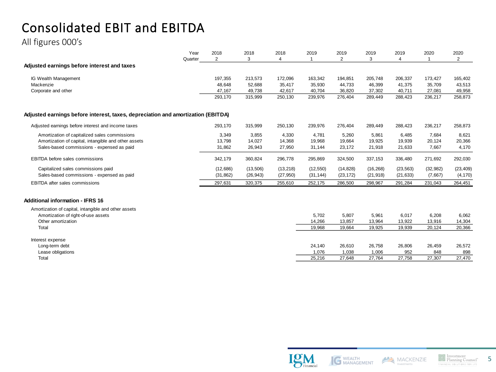# Consolidated EBIT and EBITDA

All figures 000's

|                                                                                  | Year<br>Quarter | 2018<br>2 | 2018<br>3 | 2018<br>4 | 2019      | 2019<br>$\overline{2}$ | 2019<br>3 | 2019<br>4 | 2020      | 2020<br>$\overline{2}$ |
|----------------------------------------------------------------------------------|-----------------|-----------|-----------|-----------|-----------|------------------------|-----------|-----------|-----------|------------------------|
| Adjusted earnings before interest and taxes                                      |                 |           |           |           |           |                        |           |           |           |                        |
| IG Wealth Management                                                             |                 | 197,355   | 213,573   | 172,096   | 163,342   | 194,851                | 205,748   | 206,337   | 173,427   | 165,402                |
| Mackenzie                                                                        |                 | 48,648    | 52,688    | 35.417    | 35,930    | 44.733                 | 46,399    | 41,375    | 35,709    | 43,513                 |
| Corporate and other                                                              |                 | 47,167    | 49,738    | 42.617    | 40.704    | 36,820                 | 37,302    | 40,711    | 27,081    | 49,958                 |
|                                                                                  |                 | 293,170   | 315,999   | 250,130   | 239,976   | 276,404                | 289,449   | 288,423   | 236,217   | 258,873                |
| Adjusted earnings before interest, taxes, depreciation and amortization (EBITDA) |                 |           |           |           |           |                        |           |           |           |                        |
| Adjusted earnings before interest and income taxes                               |                 | 293,170   | 315,999   | 250,130   | 239,976   | 276,404                | 289,449   | 288,423   | 236,217   | 258,873                |
| Amortization of capitalized sales commissions                                    |                 | 3,349     | 3,855     | 4,330     | 4,781     | 5,260                  | 5,861     | 6,485     | 7,684     | 8,621                  |
| Amortization of capital, intangible and other assets                             |                 | 13,798    | 14,027    | 14.368    | 19.968    | 19.664                 | 19,925    | 19,939    | 20,124    | 20,366                 |
| Sales-based commissions - expensed as paid                                       |                 | 31,862    | 26,943    | 27,950    | 31,144    | 23,172                 | 21,918    | 21,633    | 7,667     | 4,170                  |
| <b>EBITDA</b> before sales commissions                                           |                 | 342,179   | 360,824   | 296,778   | 295,869   | 324,500                | 337,153   | 336,480   | 271,692   | 292,030                |
| Capitalized sales commissions paid                                               |                 | (12,686)  | (13, 506) | (13, 218) | (12, 550) | (14, 828)              | (16, 268) | (23, 563) | (32, 982) | (23, 409)              |
| Sales-based commissions - expensed as paid                                       |                 | (31, 862) | (26, 943) | (27, 950) | (31, 144) | (23, 172)              | (21, 918) | (21, 633) | (7,667)   | (4, 170)               |
| <b>EBITDA</b> after sales commissions                                            |                 | 297,631   | 320,375   | 255,610   | 252,175   | 286,500                | 298,967   | 291,284   | 231,043   | 264,451                |
| <b>Additional information - IFRS 16</b>                                          |                 |           |           |           |           |                        |           |           |           |                        |
| Amortization of capital, intangible and other assets                             |                 |           |           |           |           |                        |           |           |           |                        |
| Amortization of right-of-use assets                                              |                 |           |           |           | 5,702     | 5,807                  | 5,961     | 6,017     | 6,208     | 6,062                  |
| Other amortization                                                               |                 |           |           |           | 14,266    | 13,857                 | 13,964    | 13,922    | 13,916    | 14,304                 |
| Total                                                                            |                 |           |           |           | 19,968    | 19.664                 | 19.925    | 19,939    | 20.124    | 20,366                 |

| Interest expense  |        |        |        |        |        |        |
|-------------------|--------|--------|--------|--------|--------|--------|
| Long-term debt    | 24,140 | 26,610 | 26,758 | 26,806 | 26,459 | 26,572 |
| Lease obligations | 1.076  | 1,038  | 1.006  | 952    | 848    | 898    |
| Total             | 25,216 | 27.648 | 27.764 | 27,758 | 27,307 | 27,470 |
|                   |        |        |        |        |        |        |



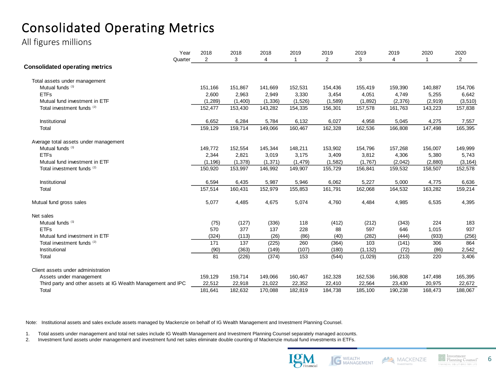# Consolidated Operating Metrics

All figures millions

|                                                              | Year<br>2018   | 2018     | 2018     | 2019     | 2019           | 2019     | 2019     | 2020    | 2020           |
|--------------------------------------------------------------|----------------|----------|----------|----------|----------------|----------|----------|---------|----------------|
| Quarter                                                      | $\overline{2}$ | 3        | 4        | 1        | $\overline{2}$ | 3        | 4        |         | $\overline{2}$ |
| <b>Consolidated operating metrics</b>                        |                |          |          |          |                |          |          |         |                |
| Total assets under management                                |                |          |          |          |                |          |          |         |                |
| Mutual funds <sup>(1)</sup>                                  | 151,166        | 151,867  | 141,669  | 152,531  | 154,436        | 155,419  | 159,390  | 140,887 | 154,706        |
| <b>ETFs</b>                                                  | 2,600          | 2,963    | 2,949    | 3,330    | 3,454          | 4,051    | 4,749    | 5,255   | 6,642          |
| Mutual fund investment in ETF                                | (1, 289)       | (1,400)  | (1, 336) | (1,526)  | (1,589)        | (1,892)  | (2, 376) | (2,919) | (3, 510)       |
| Total investment funds <sup>(2)</sup>                        | 152,477        | 153,430  | 143,282  | 154,335  | 156,301        | 157,578  | 161,763  | 143,223 | 157,838        |
| Institutional                                                | 6,652          | 6,284    | 5,784    | 6,132    | 6,027          | 4,958    | 5,045    | 4,275   | 7,557          |
| Total                                                        | 159,129        | 159,714  | 149,066  | 160,467  | 162,328        | 162,536  | 166,808  | 147,498 | 165,395        |
| Average total assets under management                        |                |          |          |          |                |          |          |         |                |
| Mutual funds <sup>(1)</sup>                                  | 149,772        | 152,554  | 145,344  | 148,211  | 153,902        | 154,796  | 157,268  | 156,007 | 149,999        |
| <b>ETFs</b>                                                  | 2,344          | 2,821    | 3,019    | 3,175    | 3,409          | 3,812    | 4,306    | 5,380   | 5,743          |
| Mutual fund investment in ETF                                | (1, 196)       | (1, 378) | (1, 371) | (1, 479) | (1, 582)       | (1,767)  | (2,042)  | (2,880) | (3, 164)       |
| Total investment funds (2)                                   | 150,920        | 153,997  | 146,992  | 149,907  | 155,729        | 156,841  | 159,532  | 158,507 | 152,578        |
| Institutional                                                | 6,594          | 6,435    | 5,987    | 5,946    | 6,062          | 5,227    | 5,000    | 4,775   | 6,636          |
| Total                                                        | 157,514        | 160,431  | 152,979  | 155,853  | 161,791        | 162,068  | 164,532  | 163,282 | 159,214        |
| Mutual fund gross sales                                      | 5,077          | 4,485    | 4,675    | 5,074    | 4,760          | 4,484    | 4,985    | 6,535   | 4,395          |
| Net sales                                                    |                |          |          |          |                |          |          |         |                |
| Mutual funds <sup>(1)</sup>                                  | (75)           | (127)    | (336)    | 118      | (412)          | (212)    | (343)    | 224     | 183            |
| <b>ETFs</b>                                                  | 570            | 377      | 137      | 228      | 88             | 597      | 646      | 1,015   | 937            |
| Mutual fund investment in ETF                                | (324)          | (113)    | (26)     | (86)     | (40)           | (282)    | (444)    | (933)   | (256)          |
| Total investment funds <sup>(2)</sup>                        | 171            | 137      | (225)    | 260      | (364)          | 103      | (141)    | 306     | 864            |
| Institutional                                                | (90)           | (363)    | (149)    | (107)    | (180)          | (1, 132) | (72)     | (86)    | 2,542          |
| Total                                                        | 81             | (226)    | (374)    | 153      | (544)          | (1,029)  | (213)    | 220     | 3,406          |
| Client assets under administration                           |                |          |          |          |                |          |          |         |                |
| Assets under management                                      | 159,129        | 159,714  | 149,066  | 160,467  | 162,328        | 162,536  | 166,808  | 147,498 | 165,395        |
| Third party and other assets at IG Wealth Management and IPC | 22,512         | 22,918   | 21,022   | 22,352   | 22,410         | 22,564   | 23,430   | 20,975  | 22,672         |
| Total                                                        | 181,641        | 182,632  | 170,088  | 182,819  | 184,738        | 185,100  | 190,238  | 168,473 | 188,067        |

Note: Institutional assets and sales exclude assets managed by Mackenzie on behalf of IG Wealth Management and Investment Planning Counsel.

1. Total assets under management and total net sales include IG Wealth Management and Investment Planning Counsel separately managed accounts.

2. Investment fund assets under management and investment fund net sales eliminate double counting of Mackenzie mutual fund investments in ETFs.





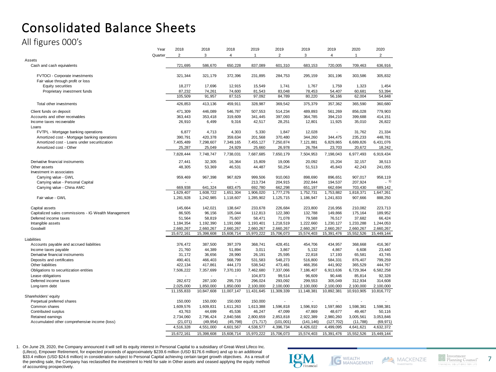## Consolidated Balance Sheets

All figures 000's

|                                                      | Year    | 2018         | 2018                 | 2018           | 2019         | 2019                     | 2019                 | 2019                     | 2020                 | 2020                 |
|------------------------------------------------------|---------|--------------|----------------------|----------------|--------------|--------------------------|----------------------|--------------------------|----------------------|----------------------|
|                                                      | Quarter | 2            | 3                    | $\overline{4}$ | $\mathbf{1}$ | $\overline{2}$           | 3                    | 4                        | $\mathbf{1}$         | $\overline{c}$       |
| Assets                                               |         |              |                      |                |              |                          |                      |                          |                      |                      |
| Cash and cash equivalents                            |         | 721,695      | 586,670              | 650,228        | 837,089      | 601,310                  | 683,153              | 720,005                  | 709,463              | 636,916              |
|                                                      |         |              |                      |                |              |                          |                      |                          |                      |                      |
| FVTOCI - Corporate investments                       |         | 321,344      | 321,179              | 372,396        | 231,895      | 284,753                  | 295,159              | 301,196                  | 303,586              | 305,832              |
| Fair value through profit or loss                    |         |              |                      |                |              |                          |                      |                          |                      |                      |
| Equity securities                                    |         | 18,277       | 17,696               | 12,915         | 15,549       | 1,741                    | 1,767                | 1,759                    | 1,323                | 1,454                |
| Proprietary investment funds                         |         | 87,232       | 74,261               | 74,600         | 81,543       | 83,048                   | 78,453               | 54,407                   | 60,681               | 53,394               |
|                                                      |         | 105,509      | 91,957               | 87,515         | 97,092       | 84,789                   | 80,220               | 56,166                   | 62,004               | 54,848               |
| Total other investments                              |         | 426,853      | 413,136              | 459,911        | 328,987      | 369,542                  | 375,379              | 357,362                  | 365,590              | 360,680              |
| Client funds on deposit                              |         | 471.309      | 446.089              | 546.787        | 507.553      | 514,234                  | 489.893              | 561.269                  | 856.028              | 779.903              |
| Accounts and other receivables                       |         | 363,443      | 353,418              | 319,609        | 341,445      | 397,093                  | 364,785              | 394,210                  | 399,688              | 414,151              |
| Income taxes recoverable                             |         | 26,910       | 6,499                | 9,316          | 42,517       | 28,251                   | 12,801               | 11,925                   | 35,010               | 26,822               |
| Loans                                                |         |              |                      |                |              |                          |                      |                          |                      |                      |
| FVTPL - Mortgage banking operations                  |         | 6,877        | 4,713                | 4,303          | 5,330        | 1,847                    | 12,028               | $\overline{\phantom{a}}$ | 31,762               | 21,334               |
| Amortized cost - Mortgage banking operations         |         | 390,791      | 420,378              | 359,634        | 201,568      | 370,480                  | 344,260              | 344,475                  | 235,233              | 448,781              |
| Amortized cost - Loans under securitization          |         | 7,405,489    | 7,298,607            | 7,349,165      | 7,455,127    | 7,250,874                | 7,121,881            | 6,829,865                | 6,689,826            | 6,431,076            |
| Amortized cost - Other                               |         | 25,287       | 25,049               | 24,929         | 25,660       | 26,978                   | 26,784               | 23,703                   | 20,672               | 18,242               |
|                                                      |         | 7,828,444    | 7,748,747            | 7,738,031      | 7,687,685    | 7,650,179                | 7,504,953            | 7,198,043                | 6,977,493            | 6,919,434            |
| Derivative financial instruments                     |         | 27,441       | 32,305               | 16,364         | 15,809       | 19,006                   | 20,092               | 15,204                   | 32,157               | 38,513               |
| Other assets                                         |         | 48,305       | 53,369               | 46,531         | 44,487       | 50,254                   | 51,513               | 45,843                   | 42,243               | 241,055              |
| Investment in associates                             |         |              |                      |                |              |                          |                      |                          |                      |                      |
| Carrying value - GWL                                 |         | 959,469      | 967,398              | 967,829        | 999,506      | 910,063                  | 898,690              | 896,651                  | 907,017              | 958,119              |
| Carrying value - Personal Capital                    |         |              |                      |                | 213,734      | 204,915                  | 202,844              | 194,537                  | 207,924              | $-1)$                |
|                                                      |         | 669,938      |                      | 683,475        | 692,780      |                          |                      |                          |                      |                      |
| Carrying value - China AMC                           |         | 1,629,407    | 641,324<br>1,608,722 | 1,651,304      | 1,906,020    | 662,298<br>1,777,276     | 651,197<br>1,752,731 | 662,694<br>1,753,882     | 703,430<br>1,818,371 | 689,142<br>1,647,261 |
| Fair value - GWL                                     |         |              |                      |                |              |                          |                      |                          | 907,666              |                      |
|                                                      |         | 1,281,928    | 1,242,985            | 1,118,607      | 1,285,902    | 1,125,715                | 1,186,947            | 1,241,833                |                      | 888,250              |
| Capital assets                                       |         | 145,664      | 142,021              | 138,647        | 233,678      | 226,684                  | 223,800              | 216,956                  | 210,082              | 223,713              |
| Capitalized sales commissions - IG Wealth Management |         | 86,505       | 96,156               | 105,044        | 112,813      | 122,380                  | 132,788              | 149,866                  | 175,164              | 189,952              |
| Deferred income taxes                                |         | 51,564       | 58,819               | 75,607         | 58,471       | 71,078                   | 79,588               | 76,517                   | 37,682               | 66,424               |
| Intangible assets                                    |         | 1,184,354    | 1,192,390            | 1,191,068      | 1,193,401    | 1,218,519                | 1,222,660            | 1,230,127                | 1,233,288            | 1,244,053            |
| Goodwill                                             |         | 2,660,267    | 2,660,267            | 2,660,267      | 2,660,267    | 2,660,267                | 2,660,267            | 2,660,267                | 2,660,267            | 2,660,267            |
|                                                      |         | 15,672,161   | 15,398,608           | 15,608,714     | 15,970,222   | 15,706,073               | 15,574,403           | 15,391,476               | 15,552,526           | 15,449,144           |
| Liabilities                                          |         |              |                      |                |              |                          |                      |                          |                      |                      |
| Accounts payable and accrued liabilities             |         | 376,472      | 387,500              | 397,379        | 368,741      | 428,451                  | 454,706              | 434,957                  | 368,668              | 416,367              |
| Income taxes payable                                 |         | 21,760       | 44,389               | 51,894         | 3,011        | 3,867                    | 5,132                | 4,867                    | 6,608                | 23,440               |
| Derivative financial instruments                     |         | 31.172       | 36,656               | 28.990         | 26,191       | 25,595                   | 22,818               | 17,193                   | 65.581               | 43.745               |
| Deposits and certificates                            |         | 490,401      | 466,403              | 568,799        | 531,583      | 548,273                  | 516,800              | 584,331                  | 876,407              | 799,259              |
| Other liabilities                                    |         | 422,134      | 417,861              | 444,173        | 538,542      | 473,481                  | 466,356              | 441,902                  | 365,529              | 444,767              |
| Obligations to securitization entities               |         | 7,506,222    | 7,357,699            | 7,370,193      | 7,462,680    | 7,337,066                | 7,186,407            | 6,913,636                | 6,729,364            | 6,582,258            |
| Lease obligations                                    |         |              | ÷,                   | ÷.             | 104,873      | 99,514                   | 96,609               | 90,446                   | 85,814               | 92,328               |
| Deferred income taxes                                |         | 282,672      | 287,100              | 295,719        | 296,024      | 293,092                  | 299,553              | 305,049                  | 312,934              | 314,608              |
| Long-term debt                                       |         | 2,025,000    | 1,850,000            | 1,850,000      | 2,100,000    | 2,100,000                | 2,100,000            | 2,100,000                | 2,100,000            | 2,100,000            |
|                                                      |         | 11, 155, 833 | 10,847,608           | 11,007,147     | 11,431,645   | 11,309,339               | 11,148,381           | 10,892,381               | 10,910,905           | 10,816,772           |
| Shareholders' equity                                 |         |              |                      |                |              |                          |                      |                          |                      |                      |
| Perpetual preferred shares                           |         | 150,000      | 150,000              | 150,000        | 150,000      | $\overline{\phantom{a}}$ |                      | $\overline{\phantom{a}}$ | ٠                    |                      |
| Common shares                                        |         | 1,609,576    | 1,609,831            | 1,611,263      | 1,613,388    | 1,596,818                | 1,596,910            | 1,597,860                | 1,598,381            | 1,598,381            |
| Contributed surplus                                  |         | 43,763       | 44,699               | 45,536         | 46,247       | 47,099                   | 47,869               | 48,677                   | 49,467               | 50,116               |
| Retained earnings                                    |         | 2,734,060    | 2,796,424            | 2,840,566      | 2,800,659    | 2,853,818                | 2,922,389            | 2,980,260                | 3,005,561            | 3,053,846            |
| Accumulated other comprehensive income (loss)        |         | (21, 071)    | (49, 954)            | (45, 798)      | (71, 717)    | (101,001)                | (141, 146)           | (127, 702)               | (11,788)             | (69, 971)            |
|                                                      |         | 4,516,328    | 4,551,000            | 4,601,567      | 4,538,577    | 4,396,734                | 4,426,022            | 4,499,095                | 4,641,621            | 4,632,372            |
|                                                      |         | 15,672,161   | 15,398,608           | 15,608,714     | 15,970,222   | 15,706,073               | 15,574,403           | 15,391,476               | 15,552,526           | 15,449,144           |

1. On June 29, 2020, the Company announced it will sell its equity interest in Personal Capital to a subsidiary of Great-West Lifeco Inc. (Lifeco), Empower Retirement, for expected proceeds of approximately \$239.6 million (USD \$176.6 million) and up to an additional \$33.4 million (USD \$24.6 million) in consideration subject to Personal Capital achieving certain target growth objectives. As a result of the pending sale, the Company has reclassified the investment to Held for sale in Other assets and ceased applying the equity method of accounting prospectively.



7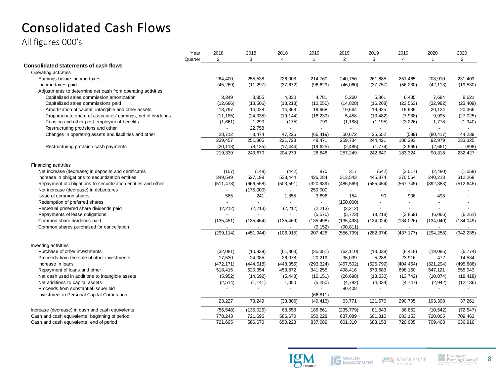# Consolidated Cash Flows

All figures 000's

|                                                               | Year    | 2018           | 2018           | 2018       | 2019                     | 2019           | 2019       | 2019       | 2020                     | 2020           |
|---------------------------------------------------------------|---------|----------------|----------------|------------|--------------------------|----------------|------------|------------|--------------------------|----------------|
|                                                               | Quarter | $\overline{2}$ | 3              | 4          | $\mathbf 1$              | $\overline{2}$ | 3          | 4          | $\mathbf{1}$             | $\overline{2}$ |
| Consolidated statements of cash flows                         |         |                |                |            |                          |                |            |            |                          |                |
| Operating activities                                          |         |                |                |            |                          |                |            |            |                          |                |
| Earnings before income taxes                                  |         | 264,400        | 255,538        | 226,008    | 214,760                  | 240,756        | 261,685    | 251,465    | 208,910                  | 231,403        |
| Income taxes paid                                             |         | (45, 269)      | (11, 297)      | (37, 672)  | (96, 629)                | (46,060)       | (37, 757)  | (56, 230)  | (42, 113)                | (19, 530)      |
| Adjustments to determine net cash from operating activities   |         |                |                |            |                          |                |            |            |                          |                |
| Capitalized sales commission amortization                     |         | 3,349          | 3,855          | 4,330      | 4,781                    | 5,260          | 5,861      | 6,485      | 7,684                    | 8,621          |
| Capitalized sales commissions paid                            |         | (12,686)       | (13,506)       | (13, 218)  | (12, 550)                | (14, 828)      | (16, 268)  | (23, 563)  | (32, 982)                | (23, 409)      |
| Amortization of capital, intangible and other assets          |         | 13,797         | 14,028         | 14,368     | 19,968                   | 19,664         | 19,925     | 19,939     | 20,124                   | 20,366         |
| Proportionate share of associates' earnings, net of dividends |         | (11, 185)      | (24, 335)      | (19, 144)  | (16, 239)                | 5,458          | (13, 482)  | (7,988)    | 9,995                    | (27, 025)      |
| Pension and other post-employment benefits                    |         | (1,661)        | 1,290          | (175)      | 799                      | (1, 188)       | (1, 195)   | (3, 226)   | 1,778                    | (1, 340)       |
| Restructuring provisions and other                            |         |                | 22,758         |            | $\overline{\phantom{a}}$ |                |            |            |                          |                |
| Changes in operating assets and liabilities and other         |         | 28,712         | 3,474          | 47,226     | (66, 419)                | 50,672         | 25,652     | (589)      | (80, 417)                | 44,239         |
|                                                               |         | 239,457        | 251,805        | 221,723    | 48,471                   | 259,734        | 244,421    | 186,293    | 92,979                   | 233,325        |
| Restructuring provision cash payments                         |         | (20, 118)      | (8, 135)       | (17, 444)  | (19, 625)                | (2, 485)       | (1,774)    | (2,969)    | (2,661)                  | (898)          |
|                                                               |         | 219,339        | 243,670        | 204,279    | 28,846                   | 257,249        | 242,647    | 183,324    | 90,318                   | 232,427        |
| Financing activities                                          |         |                |                |            |                          |                |            |            |                          |                |
| Net increase (decrease) in deposits and certificates          |         | (107)          | (148)          | (442)      | 870                      | 317            | (642)      | (3,017)    | (2,480)                  | (1, 558)       |
| Increase in obligations to securitization entities            |         | 349,549        | 527,198        | 533,444    | 426,284                  | 313,543        | 445,874    | 270,564    | 240,213                  | 312,268        |
| Repayment of obligations to securitization entities and other |         | (511, 478)     | (666, 558)     | (503, 591) | (320, 989)               | (486, 569)     | (585, 454) | (567, 745) | (392, 383)               | (512, 645)     |
| Net increase (decrease) in debentures                         |         |                | (175,000)      |            | 250,000                  |                |            |            |                          |                |
| Issue of common shares                                        |         | 585            | 241            | 1,355      | 3,696                    | 154            | 90         | 906        | 498                      |                |
| Redemption of preferred shares                                |         |                |                |            | $\omega$                 | (150,000)      |            |            |                          |                |
| Perpetual preferred share dividends paid                      |         | (2, 212)       | (2, 213)       | (2, 212)   | (2, 213)                 | (2, 212)       |            |            |                          |                |
| Repayments of lease obligations                               |         |                |                |            | (5,570)                  | (5, 723)       | (8, 218)   | (3, 859)   | (6,066)                  | (6, 251)       |
| Common share dividends paid                                   |         | (135, 451)     | (135, 464)     | (135, 469) | (135, 498)               | (135, 498)     | (134, 024) | (134, 026) | (134, 040)               | (134, 049)     |
| Common shares purchased for cancellation                      |         | $\sim$         | $\blacksquare$ | $\sim$     | (9, 152)                 | (90, 811)      | $\sim$     | $\sim$     | $\overline{\phantom{a}}$ | $\sim$         |
|                                                               |         | (299, 114)     | (451, 944)     | (106, 915) | 207,428                  | (556, 799)     | (282, 374) | (437, 177) | (294, 258)               | (342, 235)     |
| Investing activities                                          |         |                |                |            |                          |                |            |            |                          |                |
| Purchase of other investments                                 |         | (32,081)       | (10, 839)      | (61, 303)  | (35, 351)                | (62, 110)      | (13,038)   | (8, 418)   | (19,085)                 | (6, 774)       |
| Proceeds from the sale of other investments                   |         | 17,530         | 24,085         | 26,078     | 20,219                   | 36,039         | 5,288      | 23,916     | 472                      | 14,534         |
| Increase in Ioans                                             |         | (472, 171)     | (444, 518)     | (448, 055) | (293, 324)               | (457, 502)     | (526, 799) | (404, 454) | (321, 294)               | (495, 888)     |
| Repayment of loans and other                                  |         | 518,415        | 520,354        | 453,872    | 341,255                  | 498,416        | 673,683    | 698,150    | 547,121                  | 555,943        |
| Net cash used in additions to intangible assets               |         | (5,952)        | (14, 692)      | (5, 448)   | (10, 151)                | (26, 698)      | (13, 530)  | (13, 742)  | (10, 874)                | (18, 418)      |
| Net additions to capital assets                               |         | (2, 514)       | (1, 141)       | 1,050      | (5, 250)                 | (4, 782)       | (4,034)    | (4, 747)   | (2, 942)                 | (12, 136)      |
| Proceeds from substantial issuer bid                          |         |                | $\sim$         |            | ÷.                       | 80,408         | $\sim$     |            | $\blacksquare$           |                |
| Investment in Personal Capital Corporation                    |         |                |                |            | (66, 811)                |                | $\sim$     |            | $\blacksquare$           |                |
|                                                               |         | 23,227         | 73,249         | (33, 806)  | (49, 413)                | 63,771         | 121,570    | 290,705    | 193,398                  | 37,261         |
| Increase (decrease) in cash and cash equivalents              |         | (56, 548)      | (135, 025)     | 63,558     | 186,861                  | (235, 779)     | 81,843     | 36,852     | (10, 542)                | (72, 547)      |
| Cash and cash equivalents, beginning of period                |         | 778,243        | 721,695        | 586,670    | 650,228                  | 837,089        | 601,310    | 683,153    | 720,005                  | 709,463        |
| Cash and cash equivalents, end of period                      |         | 721,695        | 586.670        | 650,228    | 837,089                  | 601,310        | 683,153    | 720,005    | 709,463                  | 636,916        |



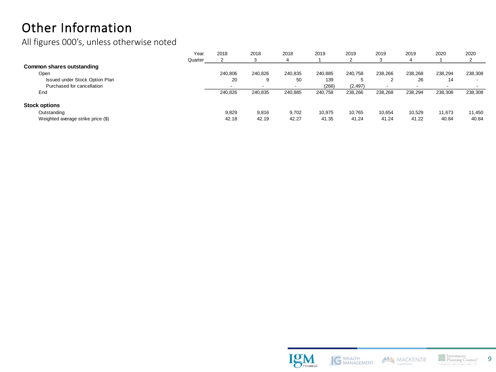# Other Information

All figures 000's, unless otherwise noted

|                                    | Year    | 2018                     | 2018    | 2018    | 2019    | 2019     | 2019    | 2019    | 2020    | 2020                     |
|------------------------------------|---------|--------------------------|---------|---------|---------|----------|---------|---------|---------|--------------------------|
|                                    | Quarter |                          |         |         |         |          |         | Δ       |         | ▵                        |
| Common shares outstanding          |         |                          |         |         |         |          |         |         |         |                          |
| Open                               |         | 240.806                  | 240.826 | 240.835 | 240.885 | 240.758  | 238.266 | 238,268 | 238.294 | 238,308                  |
| Issued under Stock Option Plan     |         | 20                       | 9       | 50      | 139     | .5       |         | 26      | 14      | $\overline{\phantom{a}}$ |
| Purchased for cancellation         |         | $\overline{\phantom{0}}$ |         |         | (266)   | (2, 497) |         |         |         | $\overline{\phantom{a}}$ |
| End                                |         | 240.826                  | 240,835 | 240,885 | 240,758 | 238,266  | 238,268 | 238,294 | 238,308 | 238,308                  |
| <b>Stock options</b>               |         |                          |         |         |         |          |         |         |         |                          |
| Outstanding                        |         | 9.829                    | 9.816   | 9.702   | 10.975  | 10.765   | 10.654  | 10.529  | 11.673  | 11,450                   |
| Weighted average strike price (\$) |         | 42.18                    | 42.19   | 42.27   | 41.35   | 41.24    | 41.24   | 41.22   | 40.84   | 40.84                    |





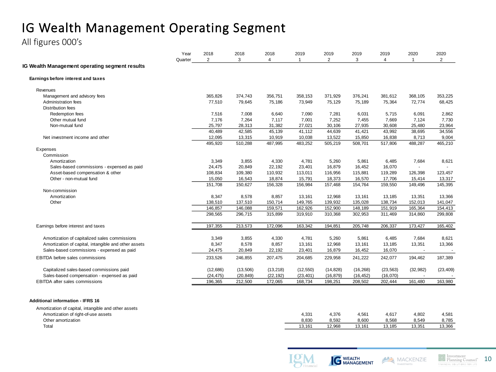# IG Wealth Management Operating Segment

All figures 000's

|                                                       | Year    | 2018           | 2018      | 2018           | 2019      | 2019           | 2019      | 2019      | 2020                 | 2020      |
|-------------------------------------------------------|---------|----------------|-----------|----------------|-----------|----------------|-----------|-----------|----------------------|-----------|
| <b>IG Wealth Management operating segment results</b> | Quarter | $\overline{2}$ | 3         | $\overline{4}$ |           | $\overline{2}$ | 3         | 4         | $\blacktriangleleft$ | 2         |
| Earnings before interest and taxes                    |         |                |           |                |           |                |           |           |                      |           |
| Revenues                                              |         |                |           |                |           |                |           |           |                      |           |
| Management and advisory fees                          |         | 365,826        | 374,743   | 356,751        | 358,153   | 371,929        | 376,241   | 381,612   | 368,105              | 353,225   |
| Administration fees                                   |         | 77,510         | 79,645    | 75,186         | 73,949    | 75,129         | 75,189    | 75,364    | 72,774               | 68,425    |
| <b>Distribution fees</b>                              |         |                |           |                |           |                |           |           |                      |           |
| Redemption fees                                       |         | 7,516          | 7,008     | 6,640          | 7,090     | 7,281          | 6,031     | 5,715     | 6,091                | 2,862     |
| Other mutual fund                                     |         | 7,176          | 7,264     | 7,117          | 7,001     | 7,252          | 7,455     | 7,669     | 7,124                | 7,730     |
| Non-mutual fund                                       |         | 25,797         | 28,313    | 31,382         | 27,021    | 30,106         | 27,935    | 30,608    | 25,480               | 23,964    |
|                                                       |         | 40,489         | 42,585    | 45,139         | 41,112    | 44,639         | 41,421    | 43,992    | 38,695               | 34,556    |
| Net investment income and other                       |         | 12,095         | 13,315    | 10,919         | 10,038    | 13,522         | 15,850    | 16,838    | 8,713                | 9,004     |
|                                                       |         | 495,920        | 510,288   | 487,995        | 483,252   | 505,219        | 508,701   | 517,806   | 488,287              | 465,210   |
| Expenses                                              |         |                |           |                |           |                |           |           |                      |           |
| Commission                                            |         |                |           |                |           |                |           |           |                      |           |
| Amortization                                          |         | 3,349          | 3,855     | 4,330          | 4,781     | 5,260          | 5,861     | 6,485     | 7,684                | 8,621     |
| Sales-based commissions - expensed as paid            |         | 24,475         | 20,849    | 22,192         | 23,401    | 16,879         | 16,452    | 16,070    |                      |           |
| Asset-based compensation & other                      |         | 108,834        | 109,380   | 110,932        | 113,011   | 116,956        | 115,881   | 119,289   | 126,398              | 123,457   |
| Other - non-mutual fund                               |         | 15,050         | 16,543    | 18,874         | 15,791    | 18,373         | 16,570    | 17,706    | 15,414               | 13,317    |
|                                                       |         | 151,708        | 150,627   | 156,328        | 156,984   | 157,468        | 154,764   | 159,550   | 149,496              | 145,395   |
| Non-commission                                        |         |                |           |                |           |                |           |           |                      |           |
| Amortization                                          |         | 8,347          | 8,578     | 8,857          | 13,161    | 12,968         | 13,161    | 13,185    | 13,351               | 13,366    |
| Other                                                 |         | 138,510        | 137,510   | 150,714        | 149,765   | 139,932        | 135,028   | 138,734   | 152,013              | 141,047   |
|                                                       |         | 146,857        | 146,088   | 159,571        | 162,926   | 152,900        | 148,189   | 151,919   | 165,364              | 154,413   |
|                                                       |         | 298,565        | 296,715   | 315,899        | 319,910   | 310,368        | 302,953   | 311,469   | 314,860              | 299,808   |
| Earnings before interest and taxes                    |         | 197,355        | 213,573   | 172,096        | 163,342   | 194,851        | 205,748   | 206,337   | 173,427              | 165,402   |
| Amortization of capitalized sales commissions         |         | 3,349          | 3,855     | 4,330          | 4,781     | 5,260          | 5,861     | 6,485     | 7,684                | 8,621     |
| Amortization of capital, intangible and other assets  |         | 8,347          | 8,578     | 8,857          | 13,161    | 12,968         | 13,161    | 13,185    | 13,351               | 13,366    |
| Sales-based commissions - expensed as paid            |         | 24,475         | 20,849    | 22,192         | 23,401    | 16,879         | 16,452    | 16,070    |                      |           |
|                                                       |         |                |           |                |           |                |           |           |                      |           |
| <b>EBITDA</b> before sales commissions                |         | 233,526        | 246,855   | 207,475        | 204,685   | 229,958        | 241,222   | 242,077   | 194,462              | 187,389   |
| Capitalized sales-based commissions paid              |         | (12,686)       | (13,506)  | (13, 218)      | (12, 550) | (14, 828)      | (16, 268) | (23, 563) | (32, 982)            | (23, 409) |
| Sales-based compensation - expensed as paid           |         | (24, 475)      | (20, 849) | (22, 192)      | (23, 401) | (16, 879)      | (16, 452) | (16,070)  |                      |           |
| <b>EBITDA</b> after sales commissions                 |         | 196.365        | 212,500   | 172.065        | 168.734   | 198.251        | 208,502   | 202.444   | 161.480              | 163,980   |

#### **Additional information - IFRS 16**

| Amortization of capital, intangible and other assets |        |        |        |        |        |        |
|------------------------------------------------------|--------|--------|--------|--------|--------|--------|
| Amortization of right-of-use assets                  | 4,331  | 4.376  | 4.561  | 4.617  | 4,802  | 4.581  |
| Other amortization                                   | 8.830  | 8.592  | 8.600  | 8.568  | 8.549  | 8.785  |
| Tota.                                                | 13.161 | 12.968 | 13.161 | 13.185 | 13,351 | 13,366 |







FINANCIAL SOL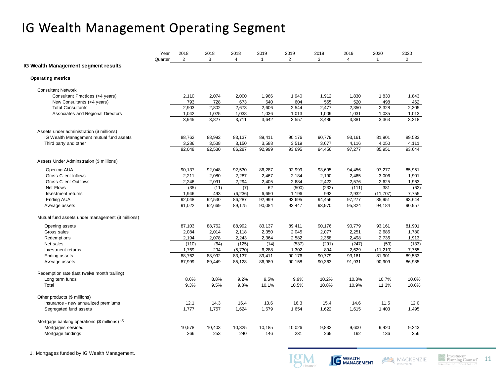# IG Wealth Management Operating Segment

|                                                          | Year<br>Quarter | 2018<br>$\overline{2}$ | 2018<br>3 | 2018<br>4 | 2019<br>$\mathbf{1}$ | 2019<br>$\overline{2}$ | 2019<br>3 | 2019<br>$\overline{4}$ | 2020<br>$\mathbf{1}$ | 2020<br>$\overline{2}$ |
|----------------------------------------------------------|-----------------|------------------------|-----------|-----------|----------------------|------------------------|-----------|------------------------|----------------------|------------------------|
| <b>IG Wealth Management segment results</b>              |                 |                        |           |           |                      |                        |           |                        |                      |                        |
| <b>Operating metrics</b>                                 |                 |                        |           |           |                      |                        |           |                        |                      |                        |
| <b>Consultant Network</b>                                |                 |                        |           |           |                      |                        |           |                        |                      |                        |
| Consultant Practices (>4 years)                          |                 | 2,110                  | 2,074     | 2,000     | 1,966                | 1,940                  | 1,912     | 1,830                  | 1,830                | 1,843                  |
| New Consultants (<4 years)                               |                 | 793                    | 728       | 673       | 640                  | 604                    | 565       | 520                    | 498                  | 462                    |
| <b>Total Consultants</b>                                 |                 | 2,903                  | 2,802     | 2,673     | 2,606                | 2,544                  | 2,477     | 2,350                  | 2,328                | 2,305                  |
| Associates and Regional Directors                        |                 | 1,042                  | 1,025     | 1,038     | 1,036                | 1,013                  | 1,009     | 1,031                  | 1,035                | 1,013                  |
|                                                          |                 | 3,945                  | 3,827     | 3,711     | 3,642                | 3,557                  | 3,486     | 3,381                  | 3,363                | 3,318                  |
| Assets under administration (\$ millions)                |                 |                        |           |           |                      |                        |           |                        |                      |                        |
| IG Wealth Management mutual fund assets                  |                 | 88,762                 | 88,992    | 83,137    | 89,411               | 90,176                 | 90,779    | 93,161                 | 81,901               | 89,533                 |
| Third party and other                                    |                 | 3,286                  | 3,538     | 3,150     | 3,588                | 3,519                  | 3,677     | 4,116                  | 4,050                | 4,111                  |
|                                                          |                 | 92.048                 | 92,530    | 86,287    | 92,999               | 93,695                 | 94.456    | 97,277                 | 85,951               | 93.644                 |
| Assets Under Adminstration (\$ millions)                 |                 |                        |           |           |                      |                        |           |                        |                      |                        |
| Opening AUA                                              |                 | 90,137                 | 92,048    | 92,530    | 86,287               | 92,999                 | 93,695    | 94,456                 | 97,277               | 85,951                 |
| <b>Gross Client Inflows</b>                              |                 | 2,211                  | 2,080     | 2,287     | 2,467                | 2,184                  | 2,190     | 2,465                  | 3,006                | 1,901                  |
| <b>Gross Client Outflows</b>                             |                 | 2,246                  | 2,091     | 2,294     | 2,405                | 2,684                  | 2,422     | 2,576                  | 2,625                | 1,963                  |
| Net Flows                                                |                 | (35)                   | (11)      | (7)       | 62                   | (500)                  | (232)     | (111)                  | 381                  | (62)                   |
| Investment returns                                       |                 | 1,946                  | 493       | (6, 236)  | 6,650                | 1,196                  | 993       | 2,932                  | (11, 707)            | 7,755                  |
| Ending AUA                                               |                 | 92,048                 | 92,530    | 86,287    | 92,999               | 93,695                 | 94,456    | 97,277                 | 85,951               | 93,644                 |
| Average assets                                           |                 | 91,022                 | 92,669    | 89,175    | 90,084               | 93,447                 | 93,970    | 95,324                 | 94,184               | 90,957                 |
| Mutual fund assets under management (\$ millions)        |                 |                        |           |           |                      |                        |           |                        |                      |                        |
| Opening assets                                           |                 | 87,103                 | 88,762    | 88,992    | 83,137               | 89,411                 | 90,176    | 90,779                 | 93,161               | 81,901                 |
| Gross sales                                              |                 | 2,084                  | 2,014     | 2,118     | 2,350                | 2,045                  | 2,077     | 2,251                  | 2,686                | 1,780                  |
| Redemptions                                              |                 | 2,194                  | 2,078     | 2,243     | 2,364                | 2,582                  | 2,368     | 2,498                  | 2,736                | 1,913                  |
| Net sales                                                |                 | (110)                  | (64)      | (125)     | (14)                 | (537)                  | (291)     | (247)                  | (50)                 | (133)                  |
| Investment returns                                       |                 | 1,769                  | 294       | (5,730)   | 6,288                | 1,302                  | 894       | 2,629                  | (11, 210)            | 7,765                  |
| <b>Ending assets</b>                                     |                 | 88,762                 | 88,992    | 83,137    | 89,411               | 90,176                 | 90,779    | 93,161                 | 81,901               | 89,533                 |
| Average assets                                           |                 | 87,999                 | 89,449    | 85,128    | 86,989               | 90,158                 | 90,363    | 91,931                 | 90,909               | 86,985                 |
| Redemption rate (last twelve month trailing)             |                 |                        |           |           |                      |                        |           |                        |                      |                        |
| Long term funds                                          |                 | 8.6%                   | 8.8%      | 9.2%      | 9.5%                 | 9.9%                   | 10.2%     | 10.3%                  | 10.7%                | 10.0%                  |
| Total                                                    |                 | 9.3%                   | 9.5%      | 9.8%      | 10.1%                | 10.5%                  | 10.8%     | 10.9%                  | 11.3%                | 10.6%                  |
| Other products (\$ millions)                             |                 |                        |           |           |                      |                        |           |                        |                      |                        |
| Insurance - new annualized premiums                      |                 | 12.1                   | 14.3      | 16.4      | 13.6                 | 16.3                   | 15.4      | 14.6                   | 11.5                 | 12.0                   |
| Segregated fund assets                                   |                 | 1,777                  | 1,757     | 1,624     | 1,679                | 1,654                  | 1,622     | 1,615                  | 1,403                | 1,495                  |
| Mortgage banking operations (\$ millions) <sup>(1)</sup> |                 |                        |           |           |                      |                        |           |                        |                      |                        |
| Mortgages serviced                                       |                 | 10,578                 | 10,403    | 10,325    | 10,185               | 10,026                 | 9,833     | 9,600                  | 9,420                | 9,243                  |
| Mortgage fundings                                        |                 | 266                    | 253       | 240       | 146                  | 231                    | 269       | 192                    | 136                  | 256                    |





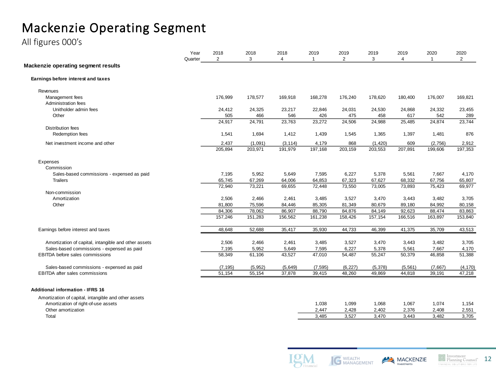# Mackenzie Operating Segment

All figures 000's

|                                                      | Year<br>Quarter | 2018<br>$\overline{2}$ | 2018<br>3 | 2018<br>$\overline{4}$ | 2019     | 2019<br>$\overline{2}$ | 2019<br>3 | 2019<br>4 | 2020<br>-1 | 2020<br>$\overline{2}$ |
|------------------------------------------------------|-----------------|------------------------|-----------|------------------------|----------|------------------------|-----------|-----------|------------|------------------------|
| <b>Mackenzie operating segment results</b>           |                 |                        |           |                        |          |                        |           |           |            |                        |
| Earnings before interest and taxes                   |                 |                        |           |                        |          |                        |           |           |            |                        |
| Revenues                                             |                 |                        |           |                        |          |                        |           |           |            |                        |
| Management fees                                      |                 | 176,999                | 178,577   | 169,918                | 168,278  | 176,240                | 178,620   | 180,400   | 176,007    | 169,821                |
| Administration fees                                  |                 |                        |           |                        |          |                        |           |           |            |                        |
| Unitholder admin fees                                |                 | 24,412                 | 24,325    | 23,217                 | 22,846   | 24,031                 | 24,530    | 24,868    | 24,332     | 23,455                 |
| Other                                                |                 | 505                    | 466       | 546                    | 426      | 475                    | 458       | 617       | 542        | 289                    |
|                                                      |                 | 24,917                 | 24,791    | 23,763                 | 23,272   | 24,506                 | 24,988    | 25,485    | 24,874     | 23,744                 |
| <b>Distribution fees</b>                             |                 |                        |           |                        |          |                        |           |           |            |                        |
| Redemption fees                                      |                 | 1,541                  | 1,694     | 1,412                  | 1,439    | 1,545                  | 1,365     | 1,397     | 1,481      | 876                    |
| Net investment income and other                      |                 | 2,437                  | (1,091)   | (3, 114)               | 4,179    | 868                    | (1,420)   | 609       | (2,756)    | 2,912                  |
|                                                      |                 | 205,894                | 203,971   | 191,979                | 197,168  | 203,159                | 203,553   | 207,891   | 199,606    | 197,353                |
| Expenses                                             |                 |                        |           |                        |          |                        |           |           |            |                        |
| Commission                                           |                 |                        |           |                        |          |                        |           |           |            |                        |
| Sales-based commissions - expensed as paid           |                 | 7,195                  | 5,952     | 5,649                  | 7,595    | 6,227                  | 5,378     | 5,561     | 7,667      | 4,170                  |
| <b>Trailers</b>                                      |                 | 65,745                 | 67,269    | 64,006                 | 64,853   | 67,323                 | 67,627    | 68,332    | 67,756     | 65,807                 |
|                                                      |                 | 72,940                 | 73,221    | 69,655                 | 72,448   | 73,550                 | 73,005    | 73,893    | 75,423     | 69,977                 |
| Non-commission                                       |                 |                        |           |                        |          |                        |           |           |            |                        |
| Amortization                                         |                 | 2,506                  | 2,466     | 2,461                  | 3,485    | 3,527                  | 3,470     | 3,443     | 3,482      | 3,705                  |
| Other                                                |                 | 81,800                 | 75,596    | 84,446                 | 85,305   | 81,349                 | 80,679    | 89,180    | 84,992     | 80,158                 |
|                                                      |                 | 84,306                 | 78,062    | 86,907                 | 88,790   | 84,876                 | 84,149    | 92,623    | 88,474     | 83,863                 |
|                                                      |                 | 157,246                | 151,283   | 156,562                | 161,238  | 158,426                | 157,154   | 166,516   | 163,897    | 153,840                |
|                                                      |                 | 48,648                 | 52,688    | 35,417                 | 35,930   | 44,733                 | 46,399    | 41,375    | 35,709     |                        |
| Earnings before interest and taxes                   |                 |                        |           |                        |          |                        |           |           |            | 43,513                 |
| Amortization of capital, intangible and other assets |                 | 2,506                  | 2,466     | 2,461                  | 3,485    | 3,527                  | 3,470     | 3,443     | 3,482      | 3,705                  |
| Sales-based commissions - expensed as paid           |                 | 7,195                  | 5,952     | 5,649                  | 7,595    | 6,227                  | 5,378     | 5,561     | 7,667      | 4,170                  |
| <b>EBITDA</b> before sales commissions               |                 | 58,349                 | 61,106    | 43,527                 | 47,010   | 54,487                 | 55,247    | 50,379    | 46,858     | 51,388                 |
|                                                      |                 |                        |           |                        |          |                        |           |           |            |                        |
| Sales-based commissions - expensed as paid           |                 | (7, 195)               | (5, 952)  | (5,649)                | (7, 595) | (6, 227)               | (5,378)   | (5, 561)  | (7,667)    | (4, 170)               |
| <b>EBITDA</b> after sales commissions                |                 | 51,154                 | 55,154    | 37,878                 | 39,415   | 48,260                 | 49,869    | 44,818    | 39,191     | 47,218                 |
| <b>Additional information - IFRS 16</b>              |                 |                        |           |                        |          |                        |           |           |            |                        |
| Amortization of capital, intangible and other assets |                 |                        |           |                        |          |                        |           |           |            |                        |
| Amortization of right-of-use assets                  |                 |                        |           |                        | 1,038    | 1,099                  | 1,068     | 1,067     | 1,074      | 1,154                  |

Other amortization 2,447 2,428 2,402 2,376 2,408 2,551 Total 3,485 3,527 3,470 3,443 3,482 3,705



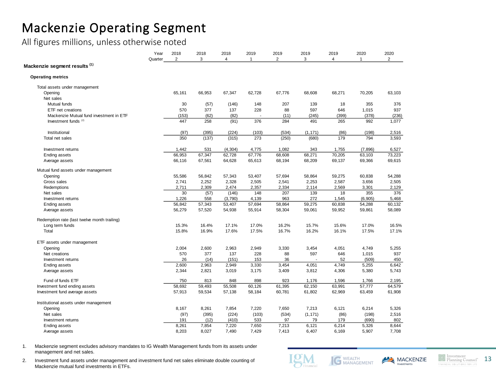### Mackenzie Operating Segment

All figures millions, unless otherwise noted

|                                              | Year<br>Quarter | 2018<br>$\overline{2}$ | 2018<br>3 | 2018<br>$\overline{4}$ | 2019<br>$\mathbf{1}$ | 2019<br>$\overline{2}$ | 2019<br>3 | 2019<br>4 | 2020<br>$\mathbf{1}$ | 2020<br>$\overline{2}$ |
|----------------------------------------------|-----------------|------------------------|-----------|------------------------|----------------------|------------------------|-----------|-----------|----------------------|------------------------|
| Mackenzie segment results <sup>(1)</sup>     |                 |                        |           |                        |                      |                        |           |           |                      |                        |
| <b>Operating metrics</b>                     |                 |                        |           |                        |                      |                        |           |           |                      |                        |
| Total assets under management                |                 |                        |           |                        |                      |                        |           |           |                      |                        |
| Opening                                      |                 | 65,161                 | 66,953    | 67,347                 | 62,728               | 67,776                 | 68,608    | 68,271    | 70,205               | 63,103                 |
| Net sales                                    |                 |                        |           |                        |                      |                        |           |           |                      |                        |
| Mutual funds                                 |                 | 30                     | (57)      | (146)                  | 148                  | 207                    | 139       | 18        | 355                  | 376                    |
| ETF net creations                            |                 | 570                    | 377       | 137                    | 228                  | 88                     | 597       | 646       | 1,015                | 937                    |
| Mackenzie Mutual fund investment in ETF      |                 | (153)                  | (62)      | (82)                   |                      | (11)                   | (245)     | (399)     | (378)                | (236)                  |
| Investment funds <sup>(2)</sup>              |                 | 447                    | 258       | (91)                   | 376                  | 284                    | 491       | 265       | 992                  | 1,077                  |
| Institutional                                |                 | (97)                   | (395)     | (224)                  | (103)                | (534)                  | (1.171)   | (86)      | (198)                | 2,516                  |
| Total net sales                              |                 | 350                    | (137)     | (315)                  | 273                  | (250)                  | (680)     | 179       | 794                  | 3,593                  |
| Investment returns                           |                 | 1,442                  | 531       | (4, 304)               | 4,775                | 1,082                  | 343       | 1,755     | (7, 896)             | 6,527                  |
| Ending assets                                |                 | 66,953                 | 67,347    | 62,728                 | 67,776               | 68,608                 | 68,271    | 70,205    | 63,103               | 73,223                 |
| Average assets                               |                 | 66,116                 | 67,561    | 64,628                 | 65,613               | 68,194                 | 68,209    | 69,137    | 69,366               | 69,615                 |
| Mutual fund assets under management          |                 |                        |           |                        |                      |                        |           |           |                      |                        |
| Opening                                      |                 | 55,586                 | 56,842    | 57,343                 | 53,407               | 57,694                 | 58,864    | 59,275    | 60,838               | 54,288                 |
| Gross sales                                  |                 | 2,741                  | 2,252     | 2,328                  | 2,505                | 2,541                  | 2,253     | 2,587     | 3,656                | 2,505                  |
| Redemptions                                  |                 | 2,711                  | 2,309     | 2,474                  | 2,357                | 2,334                  | 2,114     | 2,569     | 3,301                | 2,129                  |
| Net sales                                    |                 | 30                     | (57)      | (146)                  | 148                  | 207                    | 139       | 18        | 355                  | 376                    |
| Investment returns                           |                 | 1,226                  | 558       | (3,790)                | 4,139                | 963                    | 272       | 1,545     | (6, 905)             | 5,468                  |
| <b>Ending assets</b>                         |                 | 56,842                 | 57,343    | 53,407                 | 57,694               | 58,864                 | 59,275    | 60,838    | 54,288               | 60,132                 |
| Average assets                               |                 | 56,279                 | 57,520    | 54,938                 | 55,914               | 58,304                 | 59,061    | 59,952    | 59,861               | 58,089                 |
| Redemption rate (last twelve month trailing) |                 |                        |           |                        |                      |                        |           |           |                      |                        |
| Long term funds                              |                 | 15.3%                  | 16.4%     | 17.1%                  | 17.0%                | 16.2%                  | 15.7%     | 15.6%     | 17.0%                | 16.5%                  |
| Total                                        |                 | 15.8%                  | 16.9%     | 17.6%                  | 17.5%                | 16.7%                  | 16.2%     | 16.1%     | 17.5%                | 17.1%                  |
| ETF assets under management                  |                 |                        |           |                        |                      |                        |           |           |                      |                        |
| Opening                                      |                 | 2,004                  | 2,600     | 2,963                  | 2,949                | 3,330                  | 3,454     | 4,051     | 4,749                | 5,255                  |
| Net creations                                |                 | 570                    | 377       | 137                    | 228                  | 88                     | 597       | 646       | 1,015                | 937                    |
| Investment returns                           |                 | 26                     | (14)      | (151)                  | 153                  | 36                     |           | 52        | (509)                | 450                    |
| <b>Ending assets</b>                         |                 | 2.600                  | 2.963     | 2.949                  | 3.330                | 3,454                  | 4.051     | 4.749     | 5,255                | 6,642                  |
| Average assets                               |                 | 2,344                  | 2,821     | 3,019                  | 3,175                | 3,409                  | 3,812     | 4,306     | 5,380                | 5,743                  |
| Fund of funds ETF                            |                 | 750                    | 813       | 848                    | 898                  | 923                    | 1,176     | 1,596     | 1,766                | 2,195                  |
| Investment fund ending assets                |                 | 58,692                 | 59,493    | 55,508                 | 60,126               | 61,395                 | 62,150    | 63,991    | 57,777               | 64,579                 |
| Investment fund average assets               |                 | 57,913                 | 59,534    | 57,138                 | 58,184               | 60,781                 | 61,802    | 62,969    | 63,459               | 61,908                 |
| Institutional assets under management        |                 |                        |           |                        |                      |                        |           |           |                      |                        |
| Opening                                      |                 | 8,167                  | 8,261     | 7,854                  | 7,220                | 7,650                  | 7,213     | 6,121     | 6,214                | 5,326                  |
| Net sales                                    |                 | (97)                   | (395)     | (224)                  | (103)                | (534)                  | (1, 171)  | (86)      | (198)                | 2,516                  |
| Investment returns                           |                 | 191                    | (12)      | (410)                  | 533                  | 97                     | 79        | 179       | (690)                | 802                    |
| <b>Ending assets</b>                         |                 | 8,261                  | 7,854     | 7,220                  | 7,650                | 7,213                  | 6,121     | 6,214     | 5,326                | 8,644                  |
| Average assets                               |                 | 8,203                  | 8,027     | 7,490                  | 7,429                | 7,413                  | 6,407     | 6,169     | 5,907                | 7,708                  |

1. Mackenzie segment excludes advisory mandates to IG Wealth Management funds from its assets under management and net sales.

2. Investment fund assets under management and investment fund net sales eliminate double counting of Mackenzie mutual fund investments in ETFs.





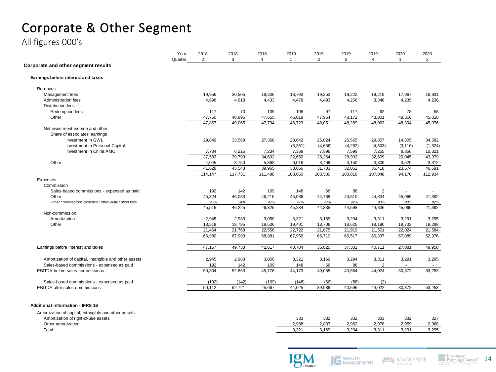# Corporate & Other Segment

All figures 000's

|                                                      | Year<br>Quarter | 2018<br>$\overline{2}$ | 2018<br>3 | 2018<br>4 | 2019<br>$\overline{1}$ | 2019<br>$\overline{2}$ | 2019<br>3 | 2019<br>$\overline{4}$ | 2020<br>$\overline{1}$ | 2020<br>$\overline{2}$   |
|------------------------------------------------------|-----------------|------------------------|-----------|-----------|------------------------|------------------------|-----------|------------------------|------------------------|--------------------------|
| Corporate and other segment results                  |                 |                        |           |           |                        |                        |           |                        |                        |                          |
| Earnings before interest and taxes                   |                 |                        |           |           |                        |                        |           |                        |                        |                          |
| Revenues                                             |                 |                        |           |           |                        |                        |           |                        |                        |                          |
| Management fees                                      |                 | 19,956                 | 20,505    | 19,306    | 18,793                 | 19,253                 | 19,222    | 19,219                 | 17,967                 | 16,931                   |
| Administration fees                                  |                 | 4,696                  | 4,618     | 4,433     | 4,478                  | 4,493                  | 4,256     | 3,348                  | 4,235                  | 4,236                    |
| <b>Distribution fees</b>                             |                 |                        |           |           |                        |                        |           |                        |                        |                          |
| Redemption fees                                      |                 | 117                    | 70        | 139       | 105                    | 97                     | 117       | 62                     | 78                     | 58                       |
| Other                                                |                 | 47,750                 | 48,995    | 47,655    | 46,618                 | 47,954                 | 48,172    | 48,001                 | 48,316                 | 45,018                   |
|                                                      |                 | 47,867                 | 49,065    | 47,794    | 46,723                 | 48,051                 | 48,289    | 48,063                 | 48,394                 | 45,076                   |
| Net investment income and other                      |                 |                        |           |           |                        |                        |           |                        |                        |                          |
| Share of associates' earnings                        |                 |                        |           |           |                        |                        |           |                        |                        |                          |
| Investment in GWL                                    |                 | 29,849                 | 33,568    | 27,368    | 28,642                 | 25,024                 | 25,565    | 29,857                 | 14,305                 | 34,582                   |
| Investment in Personal Capital                       |                 |                        |           |           | (3, 361)               | (4,656)                | (4, 262)  | (4, 503)               | (3, 116)               | (1,524)                  |
| Investment in China AMC                              |                 | 7,734                  | 6,225     | 7,234     | 7,369                  | 7,896                  | 7,599     | 7,255                  | 8,856                  | 10,321                   |
|                                                      |                 | 37,583                 | 39,793    | 34,602    | 32,650                 | 28,264                 | 28,902    | 32,609                 | 20,045                 | 43,379                   |
| Other                                                |                 | 4,045                  | 3,750     | 5,363     | 6,016                  | 3,469                  | 3,150     | 3,809                  | 3,529                  | 3,312                    |
|                                                      |                 | 41,628                 | 43,543    | 39,965    | 38,666                 | 31,733                 | 32,052    | 36,418                 | 23,574                 | 46,691                   |
|                                                      |                 | 114,147                | 117,731   | 111,498   | 108,660                | 103,530                | 103,819   | 107,048                | 94,170                 | 112,934                  |
| Expenses                                             |                 |                        |           |           |                        |                        |           |                        |                        |                          |
| Commission                                           |                 |                        |           |           |                        |                        |           |                        |                        |                          |
|                                                      |                 |                        |           |           |                        |                        |           |                        |                        |                          |
| Sales-based commissions - expensed as paid           |                 | 192                    | 142       | 109       | 148                    | 66                     | 88        | $\overline{2}$         |                        |                          |
| Other                                                |                 | 45,324                 | 46,083    | 46,216    | 45,086                 | 44,769                 | 44,510    | 44,834                 | 45,065                 | 41,392                   |
| Other commissions expense / other distribution fees  |                 | 95%                    | 94%       | 97%       | 97%                    | 93%                    | 92%       | 93%                    | 93%                    | 92%                      |
|                                                      |                 | 45,516                 | 46,225    | 46,325    | 45,234                 | 44,835                 | 44,598    | 44,836                 | 45,065                 | 41,392                   |
| Non-commission                                       |                 |                        |           |           |                        |                        |           |                        |                        |                          |
| Amortization                                         |                 | 2,945                  | 2,983     | 3,050     | 3,321                  | 3,169                  | 3,294     | 3,311                  | 3,291                  | 3,295                    |
| Other                                                |                 | 18,519                 | 18,785    | 19,506    | 19,401                 | 18,706                 | 18,625    | 18,190                 | 18,733                 | 18,289                   |
|                                                      |                 | 21,464                 | 21,768    | 22,556    | 22,722                 | 21,875                 | 21,919    | 21,501                 | 22,024                 | 21,584                   |
|                                                      |                 | 66,980                 | 67,993    | 68,881    | 67,956                 | 66,710                 | 66,517    | 66,337                 | 67,089                 | 62,976                   |
| Earnings before interest and taxes                   |                 | 47,167                 | 49,738    | 42,617    | 40,704                 | 36,820                 | 37,302    | 40,711                 | 27,081                 | 49,958                   |
|                                                      |                 |                        |           |           |                        |                        |           |                        |                        |                          |
| Amortization of capital, intangible and other assets |                 | 2,945                  | 2,983     | 3,050     | 3,321                  | 3,169                  | 3,294     | 3,311                  | 3,291                  | 3,295                    |
| Sales-based commissions - expensed as paid           |                 | 192                    | 142       | 109       | 148                    | 66                     | 88        | $\overline{2}$         | $\blacksquare$         | $\sim$                   |
| EBITDA before sales commissions                      |                 | 50,304                 | 52,863    | 45,776    | 44,173                 | 40,055                 | 40,684    | 44,024                 | 30,372                 | 53,253                   |
| Sales-based commissions - expensed as paid           |                 | (192)                  | (142)     | (109)     | (148)                  | (66)                   | (88)      | (2)                    |                        | $\overline{\phantom{a}}$ |
| <b>EBITDA</b> after sales commissions                |                 | 50,112                 | 52,721    | 45,667    | 44,025                 | 39,989                 | 40,596    | 44,022                 | 30,372                 | 53,253                   |







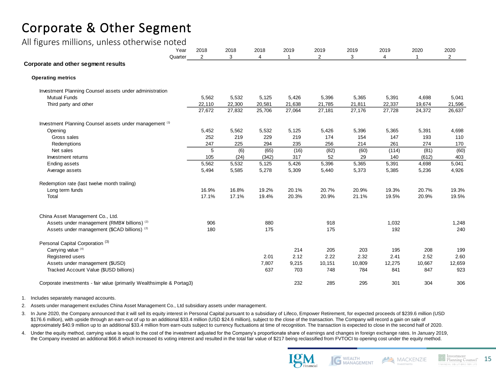## Corporate & Other Segment

### All figures millions, unless otherwise noted

| <u>--</u><br>Year                                                     | 2018           | 2018   | 2018           | 2019<br>$\overline{1}$ | 2019   | 2019   | 2019   | 2020         | 2020           |
|-----------------------------------------------------------------------|----------------|--------|----------------|------------------------|--------|--------|--------|--------------|----------------|
| Quarter<br>Corporate and other segment results                        | $\overline{2}$ | 3      | $\overline{4}$ |                        | 2      | 3      | 4      | $\mathbf{1}$ | $\overline{2}$ |
| <b>Operating metrics</b>                                              |                |        |                |                        |        |        |        |              |                |
|                                                                       |                |        |                |                        |        |        |        |              |                |
| Investment Planning Counsel assets under administration               |                |        |                |                        |        |        |        |              |                |
| <b>Mutual Funds</b>                                                   | 5,562          | 5,532  | 5,125          | 5,426                  | 5,396  | 5,365  | 5,391  | 4,698        | 5,041          |
| Third party and other                                                 | 22,110         | 22,300 | 20,581         | 21,638                 | 21,785 | 21,811 | 22,337 | 19,674       | 21,596         |
|                                                                       | 27,672         | 27,832 | 25,706         | 27,064                 | 27,181 | 27,176 | 27,728 | 24,372       | 26,637         |
| Investment Planning Counsel assets under management (1)               |                |        |                |                        |        |        |        |              |                |
| Opening                                                               | 5,452          | 5,562  | 5,532          | 5,125                  | 5,426  | 5,396  | 5,365  | 5,391        | 4,698          |
| Gross sales                                                           | 252            | 219    | 229            | 219                    | 174    | 154    | 147    | 193          | 110            |
| Redemptions                                                           | 247            | 225    | 294            | 235                    | 256    | 214    | 261    | 274          | 170            |
| Net sales                                                             | 5              | (6)    | (65)           | (16)                   | (82)   | (60)   | (114)  | (81)         | (60)           |
| Investment returns                                                    | 105            | (24)   | (342)          | 317                    | 52     | 29     | 140    | (612)        | 403            |
| <b>Ending assets</b>                                                  | 5,562          | 5,532  | 5,125          | 5,426                  | 5,396  | 5,365  | 5,391  | 4,698        | 5,041          |
| Average assets                                                        | 5,494          | 5,585  | 5,278          | 5,309                  | 5,440  | 5,373  | 5,385  | 5,236        | 4,926          |
| Redemption rate (last twelve month trailing)                          |                |        |                |                        |        |        |        |              |                |
| Long term funds                                                       | 16.9%          | 16.8%  | 19.2%          | 20.1%                  | 20.7%  | 20.9%  | 19.3%  | 20.7%        | 19.3%          |
| Total                                                                 | 17.1%          | 17.1%  | 19.4%          | 20.3%                  | 20.9%  | 21.1%  | 19.5%  | 20.9%        | 19.5%          |
| China Asset Management Co., Ltd.                                      |                |        |                |                        |        |        |        |              |                |
| Assets under management (RMB¥ billions) <sup>(2)</sup>                | 906            |        | 880            |                        | 918    |        | 1,032  |              | 1,248          |
| Assets under management (\$CAD billions) (2)                          | 180            |        | 175            |                        | 175    |        | 192    |              | 240            |
| Personal Capital Corporation <sup>(3)</sup>                           |                |        |                |                        |        |        |        |              |                |
| Carrying value <sup>(4)</sup>                                         |                |        |                | 214                    | 205    | 203    | 195    | 208          | 199            |
| Registered users                                                      |                |        | 2.01           | 2.12                   | 2.22   | 2.32   | 2.41   | 2.52         | 2.60           |
| Assets under management (\$USD)                                       |                |        | 7,807          | 9,215                  | 10,151 | 10,809 | 12,275 | 10,667       | 12,659         |
| Tracked Account Value (\$USD billions)                                |                |        | 637            | 703                    | 748    | 784    | 841    | 847          | 923            |
| Corporate investments - fair value (primarily Wealthsimple & Portag3) |                |        |                | 232                    | 285    | 295    | 301    | 304          | 306            |

#### 1. Includes separately managed accounts.

2. Assets under management excludes China Asset Management Co., Ltd subsidiary assets under management.

- 3. In June 2020, the Company announced that it will sell its equity interest in Personal Capital pursuant to a subsidiary of Lifeco, Empower Retirement, for expected proceeds of \$239.6 million (USD \$176.6 million), with upside through an earn-out of up to an additional \$33.4 million (USD \$24.6 million), subject to the close of the transaction. The Company will record a gain on sale of approximately \$40.9 million up to an additional \$33.4 million from earn-outs subject to currency fluctuations at time of recognition. The transaction is expected to close in the second half of 2020.
- 4. Under the equity method, carrying value is equal to the cost of the investment adjusted for the Company's proportionate share of earnings and changes in foreign exchange rates. In January 2019, the Company invested an additional \$66.8 which increased its voting interest and resulted in the total fair value of \$217 being reclassified from FVTOCI to opening cost under the equity method.





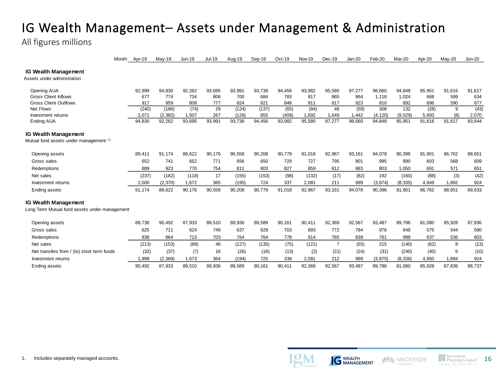### IG Wealth Management– Assets under Management & Administration

All figures millions

|                                                           | Month<br>Apr-19 | May-19       | <b>Jun-19</b> | <b>Jul-19</b> | Aug-19 | Sep-19 | Oct-19 | Nov-19 | Dec-19         | $Jan-20$ | Feb-20   | Mar-20   | Apr-20 | May-20 | <b>Jun-20</b> |
|-----------------------------------------------------------|-----------------|--------------|---------------|---------------|--------|--------|--------|--------|----------------|----------|----------|----------|--------|--------|---------------|
| <b>IG Wealth Management</b><br>Assets under adminstration |                 |              |               |               |        |        |        |        |                |          |          |          |        |        |               |
| Opening AUA                                               | 92,999          | 94,830       | 92.262        | 93,695        | 93,991 | 93.738 | 94.456 | 93,982 | 95,580         | 97,277   | 98.660   | 94.848   | 85,951 | 91.616 | 91,617        |
| <b>Gross Client Inflows</b>                               | 677             | 774          | 734           | 806           | 700    | 684    | 783    | 817    | 865            | 864      | 1,118    | 1,024    | 668    | 599    | 634           |
| <b>Gross Client Outflows</b>                              | 917             | 959          | 808           | 777           | 824    | 821    | 848    | 911    | 817            | 923      | 810      | 892      | 696    | 590    | 677           |
| Net Flows                                                 | (240)           | (186)        | (74)          | 29            | (124)  | (137)  | (65)   | (94)   | 48             | (59)     | 308      | 132      | (28)   | 9      | (43)          |
| Investment returns                                        | 2,071           | (2, 382)     | 1,507         | 267           | (129)  | 855    | (409)  | 1.692  | 1,649          | 1,442    | (4, 120) | (9,029)  | 5.693  | (8)    | 2,070         |
| <b>Ending AUA</b>                                         | 94,830          | 92,262       | 93,695        | 93,991        | 93,738 | 94,456 | 93,982 | 95,580 | 97,277         | 98,660   | 94,848   | 85,951   | 91,616 | 91,617 | 93,644        |
| <b>IG Wealth Management</b>                               |                 |              |               |               |        |        |        |        |                |          |          |          |        |        |               |
| Mutual fund assets under management (1)                   |                 |              |               |               |        |        |        |        |                |          |          |          |        |        |               |
| Opening assets                                            | 89,411          | 91.174       | 88.622        | 90.176        | 90,558 | 90,208 | 90,779 | 91,018 | 92,967         | 93,161   | 94,078   | 90,396   | 81.901 | 86.762 | 88,651        |
| Gross sales                                               | 652             | 741          | 652           | 771           | 656    | 650    | 729    | 727    | 795            | 801      | 995      | 890      | 603    | 568    | 609           |
| Redemptions                                               | 889             | 923          | 770           | 754           | 811    | 803    | 827    | 859    | 812            | 883      | 803      | 1,050    | 691    | 571    | 651           |
| Net sales                                                 | (237)           | (182)        | (118)         | 17            | (155)  | (153)  | (98)   | (132)  | (17)           | (82)     | 192      | (160)    | (88)   | (3)    | (42)          |
| Investment returns                                        | 2,000           | (2,370)      | 1,672         | 365           | (195)  | 724    | 337    | 2,081  | 211            | 999      | (3, 874) | (8, 335) | 4,949  | 1,892  | 924           |
| <b>Ending assets</b>                                      | 91,174          | 88,622       | 90,176        | 90,558        | 90,208 | 90,779 | 91,018 | 92,967 | 93,161         | 94,078   | 90,396   | 81,901   | 86,762 | 88,651 | 89,533        |
| <b>IG Wealth Management</b>                               |                 |              |               |               |        |        |        |        |                |          |          |          |        |        |               |
| Long Term Mutual fund assets under management             |                 |              |               |               |        |        |        |        |                |          |          |          |        |        |               |
| Opening assets                                            | 88,738          | 90,492       | 87,933        | 89,510        | 89,936 | 89,589 | 90,161 | 90,411 | 92,369         | 92,567   | 93,487   | 89,796   | 81,080 | 85,928 | 87,836        |
| Gross sales                                               | 625             | 711          | 624           | 749           | 637    | 629    | 703    | 693    | 772            | 784      | 976      | 848      | 575    | 544    | 590           |
| Redemptions                                               | 838             | 864          | 713           | 703           | 764    | 764    | 778    | 814    | 765            | 839      | 761      | 988      | 637    | 536    | 603           |
| Net sales                                                 | (213)           | (153)        | (89)          | 46            | (127)  | (135)  | (75)   | (121)  | $\overline{7}$ | (55)     | 215      | (140)    | (62)   | 8      | (13)          |
| Net transfers from / (to) short term funds                |                 | (32)<br>(37) | (7)           | 16            | (26)   | (18)   | (13)   | (2)    | (21)           | (24)     | (31)     | (240)    | (40)   | 6      | (10)          |
| Investment returns                                        | .999            | (2, 369)     | 1,673         | 364           | (194)  | 725    | 338    | 2,081  | 212            | 999      | (3, 875) | (8, 336) | 4,950  | 1,894  | 924           |
| <b>Ending assets</b>                                      | 90,492          | 87,933       | 89,510        | 89,936        | 89,589 | 90,161 | 90.411 | 92,369 | 92,567         | 93,487   | 89,796   | 81,080   | 85,928 | 87,836 | 88,737        |



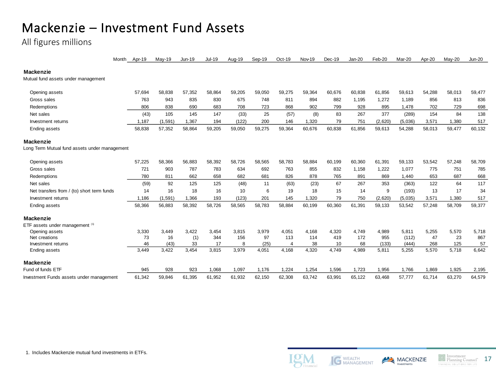# Mackenzie – Investment Fund Assets

All figures millions

|                                               | Month | Apr-19 | $May-19$ | <b>Jun-19</b> | <b>Jul-19</b> | Aug-19 | Sep-19 | Oct-19 | Nov-19 | Dec-19 | $Jan-20$ | Feb-20  | Mar-20  | Apr-20 | $May-20$ | <b>Jun-20</b> |
|-----------------------------------------------|-------|--------|----------|---------------|---------------|--------|--------|--------|--------|--------|----------|---------|---------|--------|----------|---------------|
| <b>Mackenzie</b>                              |       |        |          |               |               |        |        |        |        |        |          |         |         |        |          |               |
| Mutual fund assets under management           |       |        |          |               |               |        |        |        |        |        |          |         |         |        |          |               |
| Opening assets                                |       | 57.694 | 58.838   | 57.352        | 58.864        | 59.205 | 59.050 | 59.275 | 59,364 | 60,676 | 60,838   | 61,856  | 59,613  | 54.288 | 58.013   | 59,477        |
| Gross sales                                   |       | 763    | 943      | 835           | 830           | 675    | 748    | 811    | 894    | 882    | 1.195    | 1,272   | 1.189   | 856    | 813      | 836           |
| Redemptions                                   |       | 806    | 838      | 690           | 683           | 708    | 723    | 868    | 902    | 799    | 928      | 895     | 1,478   | 702    | 729      | 698           |
| Net sales                                     |       | (43)   | 105      | 145           | 147           | (33)   | 25     | (57)   | (8)    | 83     | 267      | 377     | (289)   | 154    | 84       | 138           |
| Investment returns                            |       | 1,187  | (1, 591) | 1,367         | 194           | (122)  | 200    | 146    | 1,320  | 79     | 751      | (2,620) | (5,036) | 3.571  | 1.380    | 517           |
| Ending assets                                 |       | 58,838 | 57,352   | 58,864        | 59,205        | 59,050 | 59,275 | 59,364 | 60,676 | 60,838 | 61,856   | 59,613  | 54,288  | 58,013 | 59,477   | 60,132        |
| <b>Mackenzie</b>                              |       |        |          |               |               |        |        |        |        |        |          |         |         |        |          |               |
| Long Term Mutual fund assets under management |       |        |          |               |               |        |        |        |        |        |          |         |         |        |          |               |
| Opening assets                                |       | 57.225 | 58.366   | 56.883        | 58.392        | 58.726 | 58.565 | 58.783 | 58.884 | 60.199 | 60.360   | 61.391  | 59.133  | 53.542 | 57.248   | 58,709        |
| Gross sales                                   |       | 721    | 903      | 787           | 783           | 634    | 692    | 763    | 855    | 832    | 1,158    | 1,222   | 1,077   | 775    | 751      | 785           |
| Redemptions                                   |       | 780    | 811      | 662           | 658           | 682    | 681    | 826    | 878    | 765    | 891      | 869     | 1,440   | 653    | 687      | 668           |
| Net sales                                     |       | (59)   | 92       | 125           | 125           | (48)   | 11     | (63)   | (23)   | 67     | 267      | 353     | (363)   | 122    | 64       | 117           |
| Net transfers from / (to) short term funds    |       | 14     | 16       | 18            | 16            | 10     | 6      | 19     | 18     | 15     | 14       | 9       | (193)   | 13     | 17       | 34            |
| Investment returns                            |       | 1.186  | (1,591)  | 1.366         | 193           | (123)  | 201    | 145    | 1.320  | 79     | 750      | (2,620) | (5,035) | 3.571  | 1.380    | 517           |
| Ending assets                                 |       | 58,366 | 56,883   | 58,392        | 58,726        | 58,565 | 58,783 | 58,884 | 60,199 | 60,360 | 61,391   | 59,133  | 53,542  | 57,248 | 58,709   | 59,377        |
| <b>Mackenzie</b>                              |       |        |          |               |               |        |        |        |        |        |          |         |         |        |          |               |
| ETF assets under management (1)               |       |        |          |               |               |        |        |        |        |        |          |         |         |        |          |               |
| Opening assets                                |       | 3,330  | 3.449    | 3,422         | 3,454         | 3,815  | 3,979  | 4,051  | 4.168  | 4,320  | 4,749    | 4,989   | 5,811   | 5,255  | 5,570    | 5,718         |
| Net creations                                 |       | 73     | 16       | (1)           | 344           | 156    | 97     | 113    | 114    | 419    | 172      | 955     | (112)   | 47     | 23       | 867           |
| Investment returns                            |       | 46     | (43)     | 33            | 17            | 8      | (25)   | 4      | 38     | 10     | 68       | (133)   | (444)   | 268    | 125      | 57            |
| Ending assets                                 |       | 3,449  | 3,422    | 3,454         | 3,815         | 3,979  | 4,051  | 4,168  | 4,320  | 4,749  | 4,989    | 5,811   | 5,255   | 5,570  | 5,718    | 6,642         |
| Mackenzie                                     |       |        |          |               |               |        |        |        |        |        |          |         |         |        |          |               |
| Fund of funds ETF                             |       | 945    | 928      | 923           | 1.068         | 1,097  | 1.176  | 1,224  | 1,254  | 1,596  | 1,723    | 1,956   | 1,766   | 1,869  | 1,925    | 2,195         |
| Investment Funds assets under management      |       | 61,342 | 59,846   | 61,395        | 61,952        | 61,932 | 62,150 | 62,308 | 63,742 | 63,991 | 65,122   | 63,468  | 57,777  | 61,714 | 63,270   | 64,579        |